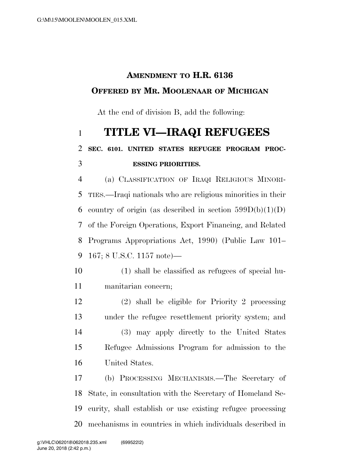## **AMENDMENT TO H.R. 6136 OFFERED BY MR. MOOLENAAR OF MICHIGAN**

At the end of division B, add the following:

## **TITLE VI—IRAQI REFUGEES SEC. 6101. UNITED STATES REFUGEE PROGRAM PROC-ESSING PRIORITIES.**

 (a) CLASSIFICATION OF IRAQI RELIGIOUS MINORI- TIES.—Iraqi nationals who are religious minorities in their 6 country of origin (as described in section  $599D(b)(1)(D)$ ) of the Foreign Operations, Export Financing, and Related Programs Appropriations Act, 1990) (Public Law 101– 167; 8 U.S.C. 1157 note)—

- (1) shall be classified as refugees of special hu-manitarian concern;
- (2) shall be eligible for Priority 2 processing under the refugee resettlement priority system; and (3) may apply directly to the United States Refugee Admissions Program for admission to the United States.

 (b) PROCESSING MECHANISMS.—The Secretary of State, in consultation with the Secretary of Homeland Se- curity, shall establish or use existing refugee processing mechanisms in countries in which individuals described in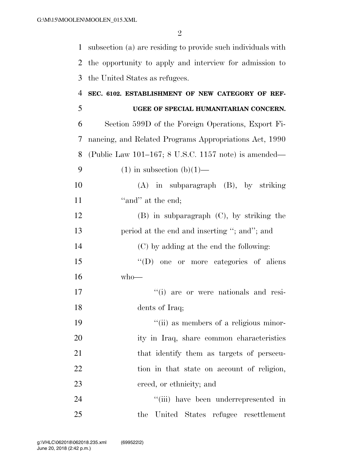2

1 subsection (a) are residing to provide such individuals with 2 the opportunity to apply and interview for admission to 3 the United States as refugees.

- 4 **SEC. 6102. ESTABLISHMENT OF NEW CATEGORY OF REF-**5 **UGEE OF SPECIAL HUMANITARIAN CONCERN.**  6 Section 599D of the Foreign Operations, Export Fi-7 nancing, and Related Programs Appropriations Act, 1990 8 (Public Law 101–167; 8 U.S.C. 1157 note) is amended— 9 (1) in subsection  $(b)(1)$ — 10 (A) in subparagraph (B), by striking 11  $"and"$  at the end; 12 (B) in subparagraph (C), by striking the 13 period at the end and inserting "; and"; and 14 (C) by adding at the end the following: 15 "(D) one or more categories of aliens"  $16$  who— 17  $(i)$  are or were nationals and resi-18 dents of Iraq; 19  $"$ (ii) as members of a religious minor-20 ity in Iraq, share common characteristics 21 that identify them as targets of persecu-22 tion in that state on account of religion, 23 creed, or ethnicity; and 24 ''(iii) have been underrepresented in
- 25 the United States refugee resettlement